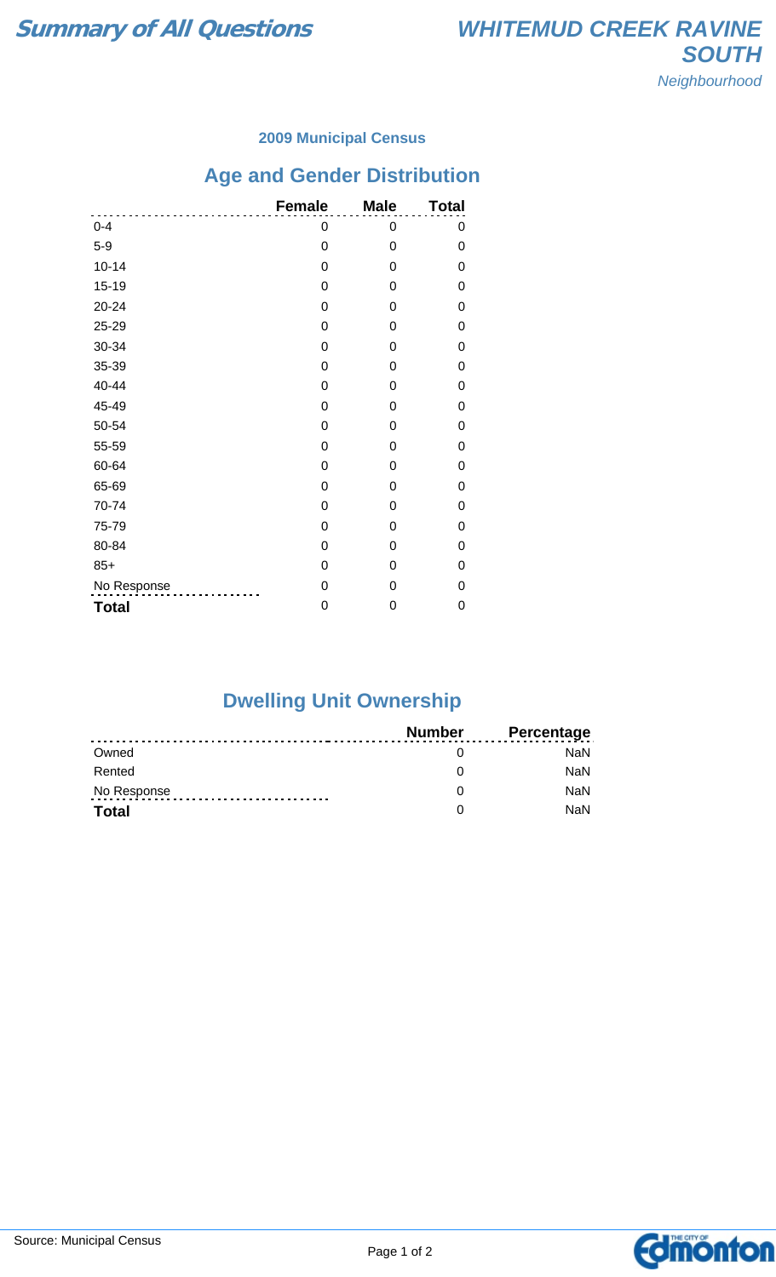### **2009 Municipal Census**

# **Age and Gender Distribution**

|              | <b>Female</b>    | <b>Male</b>    | <b>Total</b> |
|--------------|------------------|----------------|--------------|
| $0 - 4$      | 0                | 0              | 0            |
| $5-9$        | $\mathbf 0$      | 0              | 0            |
| $10 - 14$    | $\boldsymbol{0}$ | 0              | 0            |
| $15 - 19$    | $\boldsymbol{0}$ | $\mathbf 0$    | 0            |
| 20-24        | 0                | $\Omega$       | 0            |
| 25-29        | 0                | 0              | 0            |
| 30-34        | 0                | 0              | 0            |
| 35-39        | $\mathbf 0$      | 0              | 0            |
| 40-44        | $\mathbf 0$      | $\mathbf 0$    | 0            |
| 45-49        | 0                | $\Omega$       | 0            |
| 50-54        | 0                | $\Omega$       | 0            |
| 55-59        | $\mathbf 0$      | $\Omega$       | 0            |
| 60-64        | $\mathbf 0$      | $\overline{0}$ | 0            |
| 65-69        | 0                | $\Omega$       | 0            |
| 70-74        | 0                | 0              | 0            |
| 75-79        | 0                | 0              | 0            |
| 80-84        | $\mathbf 0$      | 0              | 0            |
| $85+$        | $\mathbf 0$      | 0              | 0            |
| No Response  | $\mathbf 0$      | $\Omega$       | 0            |
| <b>Total</b> | 0                | 0              | 0            |

### **Dwelling Unit Ownership**

|              | Number | <b>Percentage</b> |
|--------------|--------|-------------------|
| Owned        |        | NaN.              |
| Rented       |        | <b>NaN</b>        |
| No Response  |        | <b>NaN</b>        |
| <b>Total</b> |        | <b>NaN</b>        |